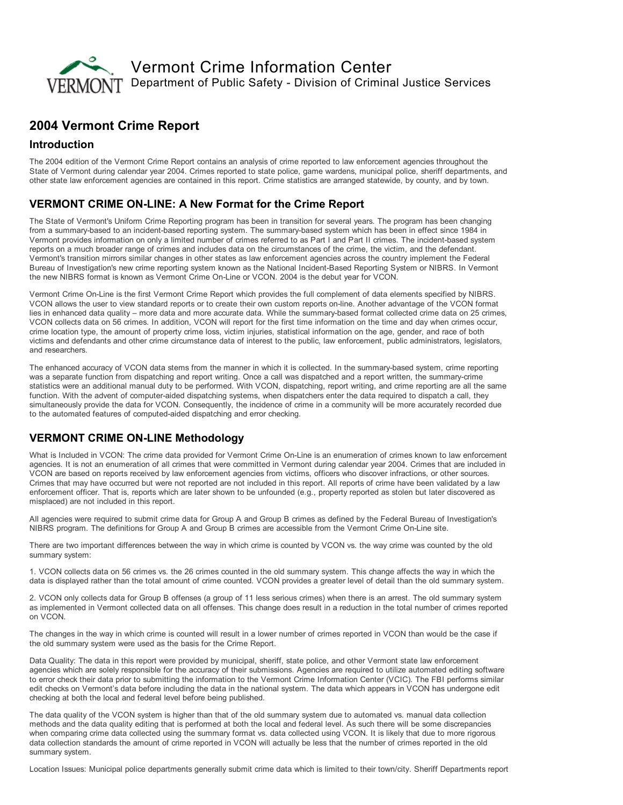

# 2004 Vermont Crime Report

#### Introduction

The 2004 edition of the Vermont Crime Report contains an analysis of crime reported to law enforcement agencies throughout the State of Vermont during calendar year 2004. Crimes reported to state police, game wardens, municipal police, sheriff departments, and other state law enforcement agencies are contained in this report. Crime statistics are arranged statewide, by county, and by town.

## VERMONT CRIME ON-LINE: A New Format for the Crime Report

The State of Vermont's Uniform Crime Reporting program has been in transition for several years. The program has been changing from a summary-based to an incident-based reporting system. The summary-based system which has been in effect since 1984 in Vermont provides information on only a limited number of crimes referred to as Part I and Part II crimes. The incident-based system reports on a much broader range of crimes and includes data on the circumstances of the crime, the victim, and the defendant. Vermont's transition mirrors similar changes in other states as law enforcement agencies across the country implement the Federal Bureau of Investigation's new crime reporting system known as the National Incident-Based Reporting System or NIBRS. In Vermont the new NIBRS format is known as Vermont Crime On-Line or VCON. 2004 is the debut year for VCON.

Vermont Crime OnLine is the first Vermont Crime Report which provides the full complement of data elements specified by NIBRS. VCON allows the user to view standard reports or to create their own custom reports on-line. Another advantage of the VCON format lies in enhanced data quality – more data and more accurate data. While the summary-based format collected crime data on 25 crimes, VCON collects data on 56 crimes. In addition, VCON will report for the first time information on the time and day when crimes occur, crime location type, the amount of property crime loss, victim injuries, statistical information on the age, gender, and race of both victims and defendants and other crime circumstance data of interest to the public, law enforcement, public administrators, legislators, and researchers.

The enhanced accuracy of VCON data stems from the manner in which it is collected. In the summary-based system, crime reporting was a separate function from dispatching and report writing. Once a call was dispatched and a report written, the summary-crime statistics were an additional manual duty to be performed. With VCON, dispatching, report writing, and crime reporting are all the same function. With the advent of computer-aided dispatching systems, when dispatchers enter the data required to dispatch a call, they simultaneously provide the data for VCON. Consequently, the incidence of crime in a community will be more accurately recorded due to the automated features of computed-aided dispatching and error checking.

## **VERMONT CRIME ON-LINE Methodology**

What is Included in VCON: The crime data provided for Vermont Crime On-Line is an enumeration of crimes known to law enforcement agencies. It is not an enumeration of all crimes that were committed in Vermont during calendar year 2004. Crimes that are included in VCON are based on reports received by law enforcement agencies from victims, officers who discover infractions, or other sources. Crimes that may have occurred but were not reported are not included in this report. All reports of crime have been validated by a law enforcement officer. That is, reports which are later shown to be unfounded (e.g., property reported as stolen but later discovered as misplaced) are not included in this report.

All agencies were required to submit crime data for Group A and Group B crimes as defined by the Federal Bureau of Investigation's NIBRS program. The definitions for Group A and Group B crimes are accessible from the Vermont Crime On-Line site.

There are two important differences between the way in which crime is counted by VCON vs. the way crime was counted by the old summary system:

1. VCON collects data on 56 crimes vs. the 26 crimes counted in the old summary system. This change affects the way in which the data is displayed rather than the total amount of crime counted. VCON provides a greater level of detail than the old summary system.

2. VCON only collects data for Group B offenses (a group of 11 less serious crimes) when there is an arrest. The old summary system as implemented in Vermont collected data on all offenses. This change does result in a reduction in the total number of crimes reported on VCON.

The changes in the way in which crime is counted will result in a lower number of crimes reported in VCON than would be the case if the old summary system were used as the basis for the Crime Report.

Data Quality: The data in this report were provided by municipal, sheriff, state police, and other Vermont state law enforcement agencies which are solely responsible for the accuracy of their submissions. Agencies are required to utilize automated editing software to error check their data prior to submitting the information to the Vermont Crime Information Center (VCIC). The FBI performs similar edit checks on Vermont's data before including the data in the national system. The data which appears in VCON has undergone edit checking at both the local and federal level before being published.

The data quality of the VCON system is higher than that of the old summary system due to automated vs. manual data collection methods and the data quality editing that is performed at both the local and federal level. As such there will be some discrepancies when comparing crime data collected using the summary format vs. data collected using VCON. It is likely that due to more rigorous data collection standards the amount of crime reported in VCON will actually be less that the number of crimes reported in the old summary system.

Location Issues: Municipal police departments generally submit crime data which is limited to their town/city. Sheriff Departments report